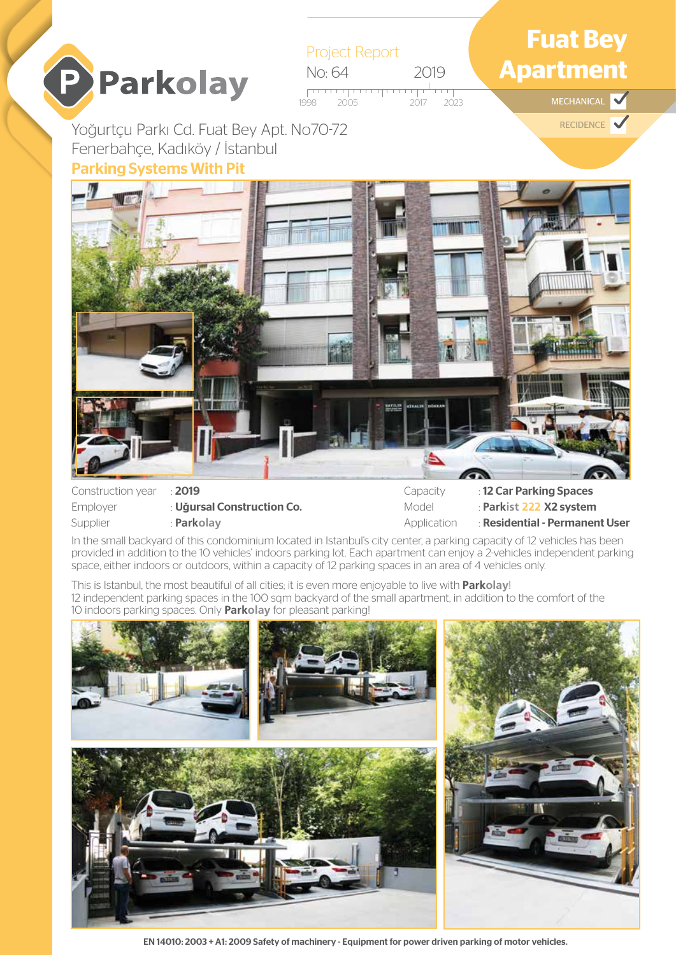

Employer : Uğursal Construction Co. Supplier : **Parkolay** 

Model : **Parkist 222** X2 system Application : Residential - Permanent User

In the small backyard of this condominium located in Istanbul's city center, a parking capacity of 12 vehicles has been provided in addition to the 10 vehicles' indoors parking lot. Each apartment can enjoy a 2-vehicles independent parking space, either indoors or outdoors, within a capacity of 12 parking spaces in an area of 4 vehicles only.

This is Istanbul, the most beautiful of all cities; it is even more enjoyable to live with **Parkolay**! 12 independent parking spaces in the 100 sqm backyard of the small apartment, in addition to the comfort of the 10 indoors parking spaces. Only **Parkolay** for pleasant parking!



EN 14010: 2003 + A1: 2009 Safety of machinery - Equipment for power driven parking of motor vehicles.